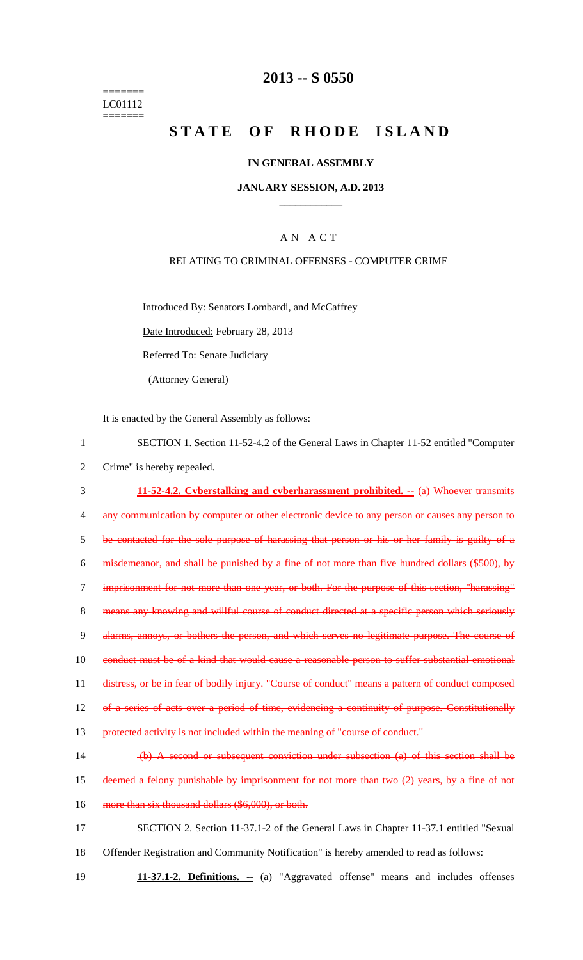======= LC01112 =======

## **2013 -- S 0550**

# **STATE OF RHODE ISLAND**

## **IN GENERAL ASSEMBLY**

### **JANUARY SESSION, A.D. 2013 \_\_\_\_\_\_\_\_\_\_\_\_**

## A N A C T

## RELATING TO CRIMINAL OFFENSES - COMPUTER CRIME

Introduced By: Senators Lombardi, and McCaffrey

Date Introduced: February 28, 2013

Referred To: Senate Judiciary

(Attorney General)

It is enacted by the General Assembly as follows:

1 SECTION 1. Section 11-52-4.2 of the General Laws in Chapter 11-52 entitled "Computer 2 Crime" is hereby repealed.

3 **11-52-4.2. Cyberstalking and cyberharassment prohibited. --** (a) Whoever transmits 4 any communication by computer or other electronic device to any person or causes any person to 5 be contacted for the sole purpose of harassing that person or his or her family is guilty of a 6 misdemeanor, and shall be punished by a fine of not more than five hundred dollars (\$500), by 7 imprisonment for not more than one year, or both. For the purpose of this section, "harassing" 8 means any knowing and willful course of conduct directed at a specific person which seriously 9 alarms, annoys, or bothers the person, and which serves no legitimate purpose. The course of 10 conduct must be of a kind that would cause a reasonable person to suffer substantial emotional 11 distress, or be in fear of bodily injury. "Course of conduct" means a pattern of conduct composed 12 of a series of acts over a period of time, evidencing a continuity of purpose. Constitutionally 13 protected activity is not included within the meaning of "course of conduct." 14 (b) A second or subsequent conviction under subsection (a) of this section shall be

15 deemed a felony punishable by imprisonment for not more than two (2) years, by a fine of not 16 more than six thousand dollars (\$6,000), or both.

17 SECTION 2. Section 11-37.1-2 of the General Laws in Chapter 11-37.1 entitled "Sexual 18 Offender Registration and Community Notification" is hereby amended to read as follows:

19 **11-37.1-2. Definitions. --** (a) "Aggravated offense" means and includes offenses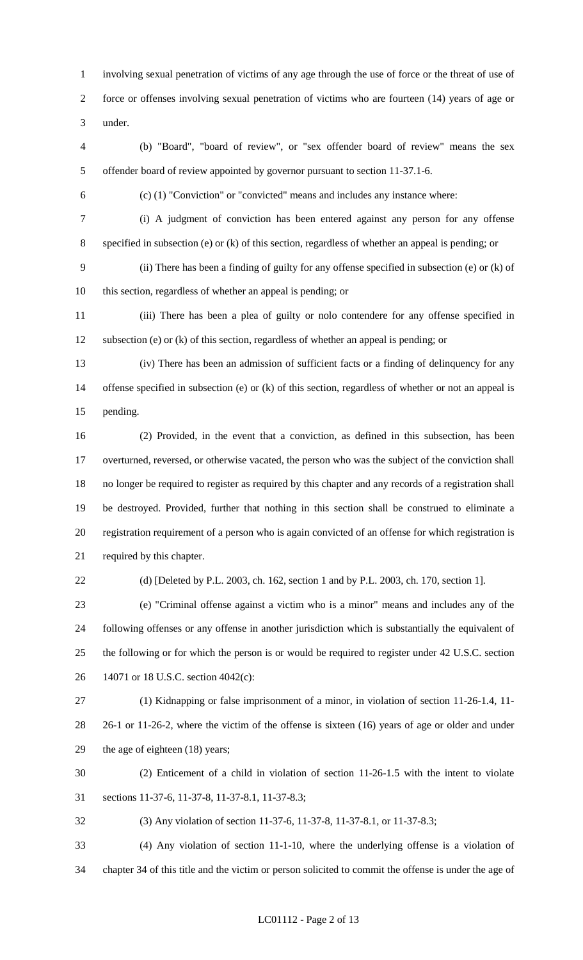1 involving sexual penetration of victims of any age through the use of force or the threat of use of 2 force or offenses involving sexual penetration of victims who are fourteen (14) years of age or 3 under.

4 (b) "Board", "board of review", or "sex offender board of review" means the sex 5 offender board of review appointed by governor pursuant to section 11-37.1-6.

6 (c) (1) "Conviction" or "convicted" means and includes any instance where:

7 (i) A judgment of conviction has been entered against any person for any offense 8 specified in subsection (e) or (k) of this section, regardless of whether an appeal is pending; or

9 (ii) There has been a finding of guilty for any offense specified in subsection (e) or (k) of 10 this section, regardless of whether an appeal is pending; or

11 (iii) There has been a plea of guilty or nolo contendere for any offense specified in 12 subsection (e) or (k) of this section, regardless of whether an appeal is pending; or

13 (iv) There has been an admission of sufficient facts or a finding of delinquency for any 14 offense specified in subsection (e) or (k) of this section, regardless of whether or not an appeal is 15 pending.

16 (2) Provided, in the event that a conviction, as defined in this subsection, has been 17 overturned, reversed, or otherwise vacated, the person who was the subject of the conviction shall 18 no longer be required to register as required by this chapter and any records of a registration shall 19 be destroyed. Provided, further that nothing in this section shall be construed to eliminate a 20 registration requirement of a person who is again convicted of an offense for which registration is 21 required by this chapter.

22 (d) [Deleted by P.L. 2003, ch. 162, section 1 and by P.L. 2003, ch. 170, section 1].

23 (e) "Criminal offense against a victim who is a minor" means and includes any of the 24 following offenses or any offense in another jurisdiction which is substantially the equivalent of 25 the following or for which the person is or would be required to register under 42 U.S.C. section 26 14071 or 18 U.S.C. section 4042(c):

27 (1) Kidnapping or false imprisonment of a minor, in violation of section 11-26-1.4, 11- 28 26-1 or 11-26-2, where the victim of the offense is sixteen (16) years of age or older and under 29 the age of eighteen (18) years;

30 (2) Enticement of a child in violation of section 11-26-1.5 with the intent to violate 31 sections 11-37-6, 11-37-8, 11-37-8.1, 11-37-8.3;

32 (3) Any violation of section 11-37-6, 11-37-8, 11-37-8.1, or 11-37-8.3;

33 (4) Any violation of section 11-1-10, where the underlying offense is a violation of 34 chapter 34 of this title and the victim or person solicited to commit the offense is under the age of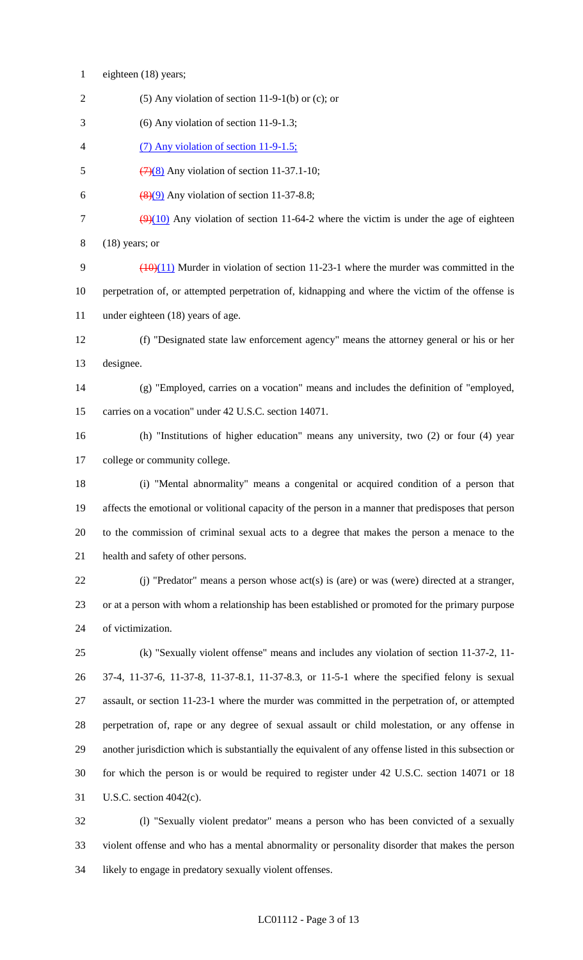- 1 eighteen (18) years;
- 2 (5) Any violation of section 11-9-1(b) or (c); or
- 3 (6) Any violation of section 11-9-1.3;
- 4 (7) Any violation of section 11-9-1.5;
- 5  $(7)(8)$  Any violation of section 11-37.1-10;
- 6  $\left(\frac{8}{9}\right)$  Any violation of section 11-37-8.8;
- 7  $\left(\frac{9}{10}\right)$  Any violation of section 11-64-2 where the victim is under the age of eighteen 8 (18) years; or
- 9  $(10)(11)$  Murder in violation of section 11-23-1 where the murder was committed in the 10 perpetration of, or attempted perpetration of, kidnapping and where the victim of the offense is 11 under eighteen (18) years of age.
- 12 (f) "Designated state law enforcement agency" means the attorney general or his or her 13 designee.
- 14 (g) "Employed, carries on a vocation" means and includes the definition of "employed, 15 carries on a vocation" under 42 U.S.C. section 14071.
- 16 (h) "Institutions of higher education" means any university, two (2) or four (4) year 17 college or community college.
- 18 (i) "Mental abnormality" means a congenital or acquired condition of a person that 19 affects the emotional or volitional capacity of the person in a manner that predisposes that person 20 to the commission of criminal sexual acts to a degree that makes the person a menace to the 21 health and safety of other persons.
- 22 (j) "Predator" means a person whose act(s) is (are) or was (were) directed at a stranger, 23 or at a person with whom a relationship has been established or promoted for the primary purpose 24 of victimization.
- 25 (k) "Sexually violent offense" means and includes any violation of section 11-37-2, 11- 26 37-4, 11-37-6, 11-37-8, 11-37-8.1, 11-37-8.3, or 11-5-1 where the specified felony is sexual 27 assault, or section 11-23-1 where the murder was committed in the perpetration of, or attempted 28 perpetration of, rape or any degree of sexual assault or child molestation, or any offense in 29 another jurisdiction which is substantially the equivalent of any offense listed in this subsection or 30 for which the person is or would be required to register under 42 U.S.C. section 14071 or 18 31 U.S.C. section 4042(c).
- 32 (l) "Sexually violent predator" means a person who has been convicted of a sexually 33 violent offense and who has a mental abnormality or personality disorder that makes the person 34 likely to engage in predatory sexually violent offenses.

#### LC01112 - Page 3 of 13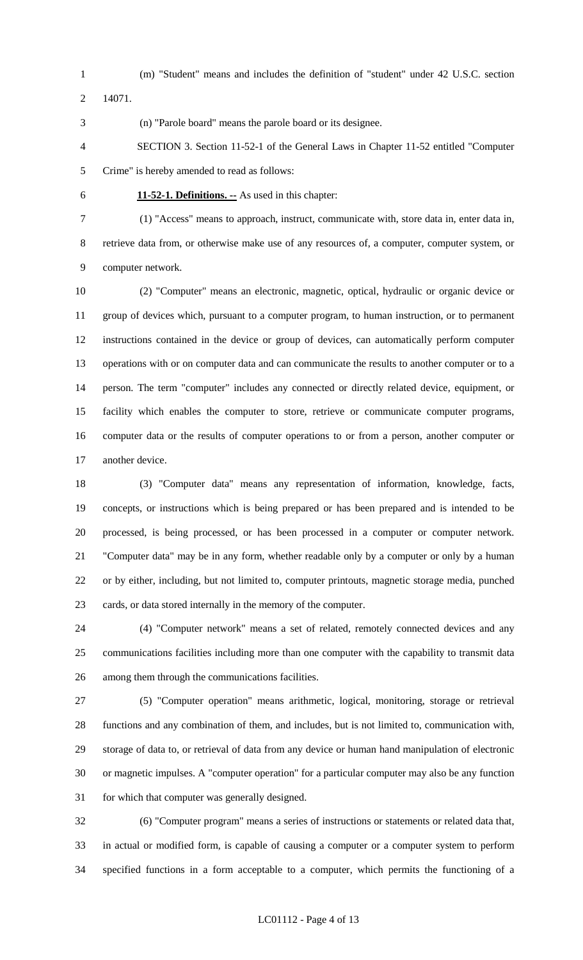- 
- 1 (m) "Student" means and includes the definition of "student" under 42 U.S.C. section

2 14071.

3 (n) "Parole board" means the parole board or its designee.

- 4 SECTION 3. Section 11-52-1 of the General Laws in Chapter 11-52 entitled "Computer 5 Crime" is hereby amended to read as follows:
- 

6 **11-52-1. Definitions. --** As used in this chapter:

7 (1) "Access" means to approach, instruct, communicate with, store data in, enter data in, 8 retrieve data from, or otherwise make use of any resources of, a computer, computer system, or 9 computer network.

10 (2) "Computer" means an electronic, magnetic, optical, hydraulic or organic device or 11 group of devices which, pursuant to a computer program, to human instruction, or to permanent 12 instructions contained in the device or group of devices, can automatically perform computer 13 operations with or on computer data and can communicate the results to another computer or to a 14 person. The term "computer" includes any connected or directly related device, equipment, or 15 facility which enables the computer to store, retrieve or communicate computer programs, 16 computer data or the results of computer operations to or from a person, another computer or 17 another device.

18 (3) "Computer data" means any representation of information, knowledge, facts, 19 concepts, or instructions which is being prepared or has been prepared and is intended to be 20 processed, is being processed, or has been processed in a computer or computer network. 21 "Computer data" may be in any form, whether readable only by a computer or only by a human 22 or by either, including, but not limited to, computer printouts, magnetic storage media, punched 23 cards, or data stored internally in the memory of the computer.

24 (4) "Computer network" means a set of related, remotely connected devices and any 25 communications facilities including more than one computer with the capability to transmit data 26 among them through the communications facilities.

27 (5) "Computer operation" means arithmetic, logical, monitoring, storage or retrieval 28 functions and any combination of them, and includes, but is not limited to, communication with, 29 storage of data to, or retrieval of data from any device or human hand manipulation of electronic 30 or magnetic impulses. A "computer operation" for a particular computer may also be any function 31 for which that computer was generally designed.

32 (6) "Computer program" means a series of instructions or statements or related data that, 33 in actual or modified form, is capable of causing a computer or a computer system to perform 34 specified functions in a form acceptable to a computer, which permits the functioning of a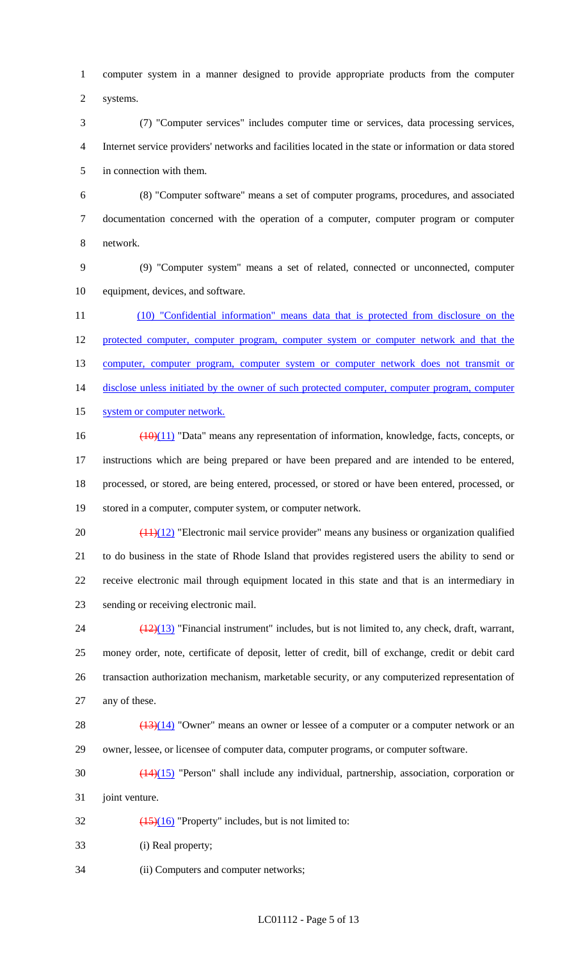1 computer system in a manner designed to provide appropriate products from the computer 2 systems.

3 (7) "Computer services" includes computer time or services, data processing services, 4 Internet service providers' networks and facilities located in the state or information or data stored 5 in connection with them.

6 (8) "Computer software" means a set of computer programs, procedures, and associated 7 documentation concerned with the operation of a computer, computer program or computer 8 network.

9 (9) "Computer system" means a set of related, connected or unconnected, computer 10 equipment, devices, and software.

11 (10) "Confidential information" means data that is protected from disclosure on the 12 protected computer, computer program, computer system or computer network and that the 13 computer, computer program, computer system or computer network does not transmit or 14 disclose unless initiated by the owner of such protected computer, computer program, computer 15 system or computer network.

16 (10)(11) "Data" means any representation of information, knowledge, facts, concepts, or 17 instructions which are being prepared or have been prepared and are intended to be entered, 18 processed, or stored, are being entered, processed, or stored or have been entered, processed, or 19 stored in a computer, computer system, or computer network.

20  $\left(\frac{(11)(12)}{2}\right)$  "Electronic mail service provider" means any business or organization qualified 21 to do business in the state of Rhode Island that provides registered users the ability to send or 22 receive electronic mail through equipment located in this state and that is an intermediary in 23 sending or receiving electronic mail.

 $\frac{(12)(13)}{12}$  "Financial instrument" includes, but is not limited to, any check, draft, warrant, 25 money order, note, certificate of deposit, letter of credit, bill of exchange, credit or debit card 26 transaction authorization mechanism, marketable security, or any computerized representation of 27 any of these.

28  $\left(\frac{(13)(14)}{2}\right)$  "Owner" means an owner or lessee of a computer or a computer network or an 29 owner, lessee, or licensee of computer data, computer programs, or computer software.

30 (14)(15) "Person" shall include any individual, partnership, association, corporation or 31 joint venture.

32  $\left(\frac{(15)(16)}{2}\right)$  "Property" includes, but is not limited to:

33 (i) Real property;

34 (ii) Computers and computer networks;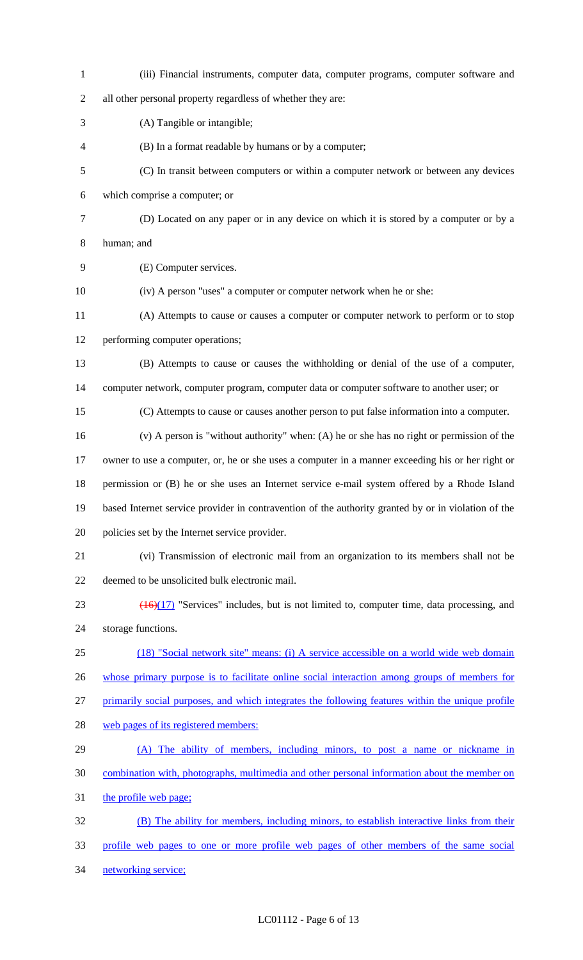| $\mathbf{1}$   | (iii) Financial instruments, computer data, computer programs, computer software and                |
|----------------|-----------------------------------------------------------------------------------------------------|
| $\mathbf{2}$   | all other personal property regardless of whether they are:                                         |
| 3              | (A) Tangible or intangible;                                                                         |
| $\overline{4}$ | (B) In a format readable by humans or by a computer;                                                |
| $\mathfrak{S}$ | (C) In transit between computers or within a computer network or between any devices                |
| 6              | which comprise a computer; or                                                                       |
| $\tau$         | (D) Located on any paper or in any device on which it is stored by a computer or by a               |
| $8\,$          | human; and                                                                                          |
| 9              | (E) Computer services.                                                                              |
| 10             | (iv) A person "uses" a computer or computer network when he or she:                                 |
| 11             | (A) Attempts to cause or causes a computer or computer network to perform or to stop                |
| 12             | performing computer operations;                                                                     |
| 13             | (B) Attempts to cause or causes the withholding or denial of the use of a computer,                 |
| 14             | computer network, computer program, computer data or computer software to another user; or          |
| 15             | (C) Attempts to cause or causes another person to put false information into a computer.            |
| 16             | $(v)$ A person is "without authority" when: (A) he or she has no right or permission of the         |
| 17             | owner to use a computer, or, he or she uses a computer in a manner exceeding his or her right or    |
| 18             | permission or (B) he or she uses an Internet service e-mail system offered by a Rhode Island        |
| 19             | based Internet service provider in contravention of the authority granted by or in violation of the |
| 20             | policies set by the Internet service provider.                                                      |
| 21             | (vi) Transmission of electronic mail from an organization to its members shall not be               |
| 22             | deemed to be unsolicited bulk electronic mail.                                                      |
| 23             | $(16)(17)$ "Services" includes, but is not limited to, computer time, data processing, and          |
| 24             | storage functions.                                                                                  |
| 25             | (18) "Social network site" means: (i) A service accessible on a world wide web domain               |
| 26             | whose primary purpose is to facilitate online social interaction among groups of members for        |
| 27             | primarily social purposes, and which integrates the following features within the unique profile    |
| 28             | web pages of its registered members:                                                                |
| 29             | (A) The ability of members, including minors, to post a name or nickname in                         |
| 30             | combination with, photographs, multimedia and other personal information about the member on        |
| 31             | the profile web page;                                                                               |
| 32             | (B) The ability for members, including minors, to establish interactive links from their            |
| 33             | profile web pages to one or more profile web pages of other members of the same social              |
| 34             | networking service;                                                                                 |

## LC01112 - Page 6 of 13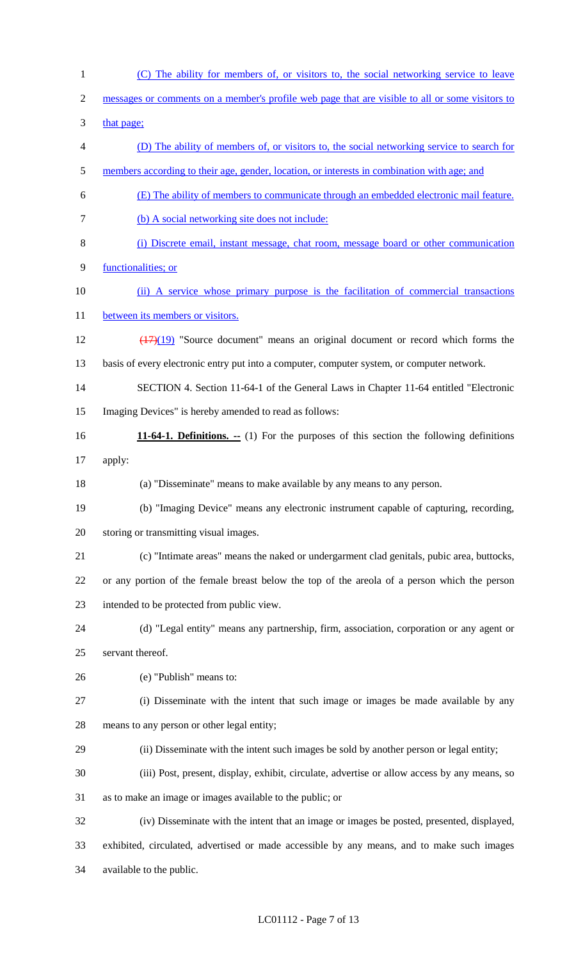1 (C) The ability for members of, or visitors to, the social networking service to leave 2 messages or comments on a member's profile web page that are visible to all or some visitors to 3 that page; 4 (D) The ability of members of, or visitors to, the social networking service to search for 5 members according to their age, gender, location, or interests in combination with age; and 6 (E) The ability of members to communicate through an embedded electronic mail feature. 7 (b) A social networking site does not include: 8 (i) Discrete email, instant message, chat room, message board or other communication 9 functionalities; or 10 (ii) A service whose primary purpose is the facilitation of commercial transactions 11 between its members or visitors. 12 (17)(19) "Source document" means an original document or record which forms the 13 basis of every electronic entry put into a computer, computer system, or computer network. 14 SECTION 4. Section 11-64-1 of the General Laws in Chapter 11-64 entitled "Electronic 15 Imaging Devices" is hereby amended to read as follows: 16 **11-64-1. Definitions. --** (1) For the purposes of this section the following definitions 17 apply: 18 (a) "Disseminate" means to make available by any means to any person. 19 (b) "Imaging Device" means any electronic instrument capable of capturing, recording, 20 storing or transmitting visual images. 21 (c) "Intimate areas" means the naked or undergarment clad genitals, pubic area, buttocks, 22 or any portion of the female breast below the top of the areola of a person which the person 23 intended to be protected from public view. 24 (d) "Legal entity" means any partnership, firm, association, corporation or any agent or 25 servant thereof. 26 (e) "Publish" means to: 27 (i) Disseminate with the intent that such image or images be made available by any 28 means to any person or other legal entity; 29 (ii) Disseminate with the intent such images be sold by another person or legal entity; 30 (iii) Post, present, display, exhibit, circulate, advertise or allow access by any means, so 31 as to make an image or images available to the public; or 32 (iv) Disseminate with the intent that an image or images be posted, presented, displayed, 33 exhibited, circulated, advertised or made accessible by any means, and to make such images 34 available to the public.

### LC01112 - Page 7 of 13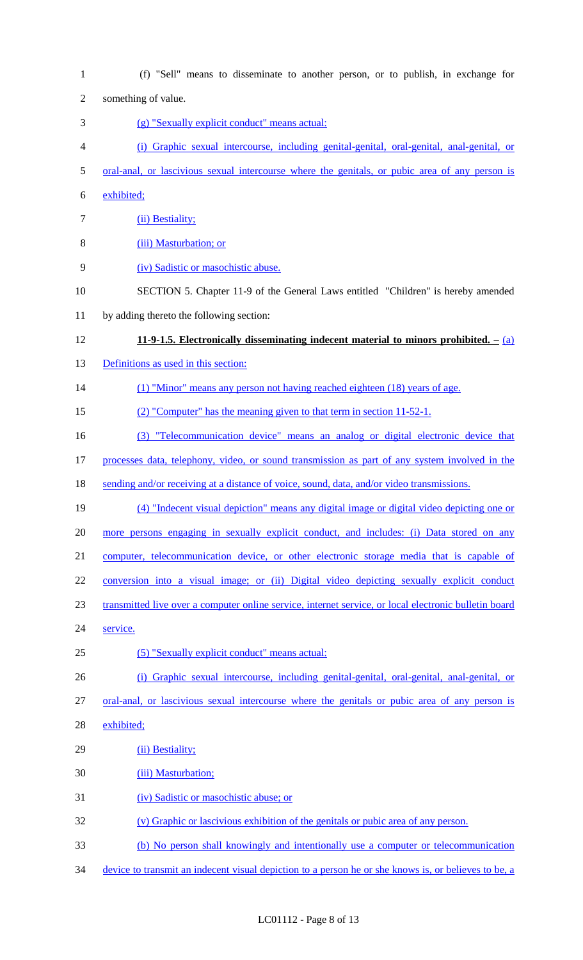1 (f) "Sell" means to disseminate to another person, or to publish, in exchange for 2 something of value. 3 (g) "Sexually explicit conduct" means actual: 4 (i) Graphic sexual intercourse, including genital-genital, oral-genital, anal-genital, or 5 oral-anal, or lascivious sexual intercourse where the genitals, or pubic area of any person is 6 exhibited; 7 (ii) Bestiality; 8 (iii) Masturbation; or 9 (iv) Sadistic or masochistic abuse. 10 SECTION 5. Chapter 11-9 of the General Laws entitled "Children" is hereby amended 11 by adding thereto the following section: 12 **11-9-1.5. Electronically disseminating indecent material to minors prohibited. –** (a) 13 Definitions as used in this section: 14 (1) "Minor" means any person not having reached eighteen (18) years of age. 15 (2) "Computer" has the meaning given to that term in section 11-52-1. 16 (3) "Telecommunication device" means an analog or digital electronic device that 17 processes data, telephony, video, or sound transmission as part of any system involved in the 18 sending and/or receiving at a distance of voice, sound, data, and/or video transmissions. 19 (4) "Indecent visual depiction" means any digital image or digital video depicting one or 20 more persons engaging in sexually explicit conduct, and includes: (i) Data stored on any 21 computer, telecommunication device, or other electronic storage media that is capable of 22 conversion into a visual image; or (ii) Digital video depicting sexually explicit conduct 23 transmitted live over a computer online service, internet service, or local electronic bulletin board 24 service. 25 (5) "Sexually explicit conduct" means actual: 26 (i) Graphic sexual intercourse, including genital-genital, oral-genital, anal-genital, or 27 oral-anal, or lascivious sexual intercourse where the genitals or pubic area of any person is 28 exhibited; 29 (ii) Bestiality; 30 (iii) Masturbation; 31 (iv) Sadistic or masochistic abuse; or 32 (v) Graphic or lascivious exhibition of the genitals or pubic area of any person. 33 (b) No person shall knowingly and intentionally use a computer or telecommunication 34 device to transmit an indecent visual depiction to a person he or she knows is, or believes to be, a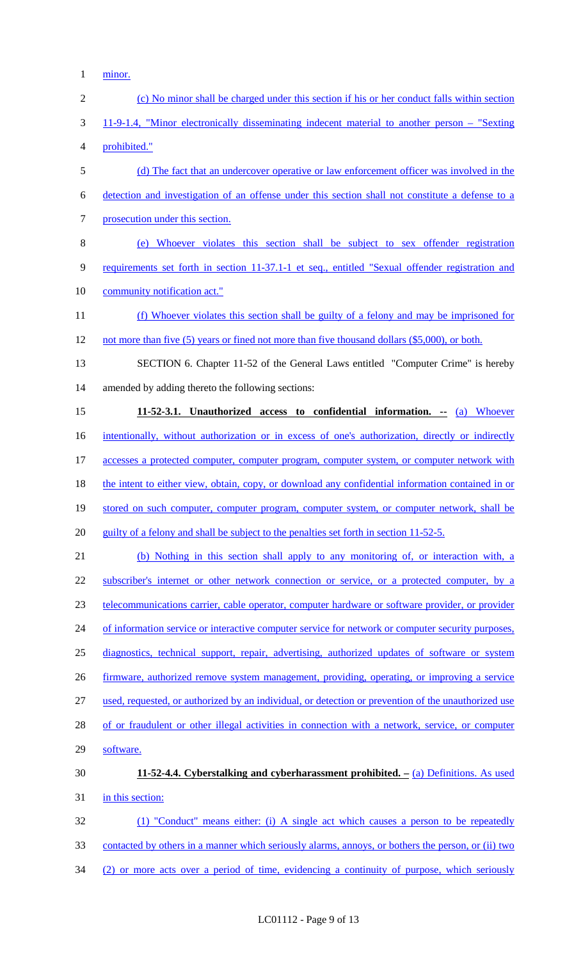1 <u>minor.</u>

| $\mathbf{2}$   | (c) No minor shall be charged under this section if his or her conduct falls within section         |
|----------------|-----------------------------------------------------------------------------------------------------|
| 3              | 11-9-1.4, "Minor electronically disseminating indecent material to another person – "Sexting"       |
| $\overline{4}$ | prohibited."                                                                                        |
| 5              | (d) The fact that an undercover operative or law enforcement officer was involved in the            |
| 6              | detection and investigation of an offense under this section shall not constitute a defense to a    |
| $\tau$         | prosecution under this section.                                                                     |
| $8\,$          | (e) Whoever violates this section shall be subject to sex offender registration                     |
| 9              | requirements set forth in section 11-37.1-1 et seq., entitled "Sexual offender registration and     |
| 10             | community notification act."                                                                        |
| 11             | (f) Whoever violates this section shall be guilty of a felony and may be imprisoned for             |
| 12             | not more than five (5) years or fined not more than five thousand dollars (\$5,000), or both.       |
| 13             | SECTION 6. Chapter 11-52 of the General Laws entitled "Computer Crime" is hereby                    |
| 14             | amended by adding thereto the following sections:                                                   |
| 15             | 11-52-3.1. Unauthorized access to confidential information. -- (a) Whoever                          |
| 16             | intentionally, without authorization or in excess of one's authorization, directly or indirectly    |
| 17             | accesses a protected computer, computer program, computer system, or computer network with          |
| 18             | the intent to either view, obtain, copy, or download any confidential information contained in or   |
| 19             | stored on such computer, computer program, computer system, or computer network, shall be           |
| 20             | guilty of a felony and shall be subject to the penalties set forth in section 11-52-5.              |
| 21             | (b) Nothing in this section shall apply to any monitoring of, or interaction with, a                |
| 22             | subscriber's internet or other network connection or service, or a protected computer, by a         |
| 23             | telecommunications carrier, cable operator, computer hardware or software provider, or provider     |
| 24             | of information service or interactive computer service for network or computer security purposes,   |
| 25             | diagnostics, technical support, repair, advertising, authorized updates of software or system       |
| 26             | firmware, authorized remove system management, providing, operating, or improving a service         |
| 27             | used, requested, or authorized by an individual, or detection or prevention of the unauthorized use |
| 28             | of or fraudulent or other illegal activities in connection with a network, service, or computer     |
| 29             | software.                                                                                           |
| 30             | 11-52-4.4. Cyberstalking and cyberharassment prohibited. $-$ (a) Definitions. As used               |
| 31             | in this section:                                                                                    |
| 32             | (1) "Conduct" means either: (i) A single act which causes a person to be repeatedly                 |
| 33             | contacted by others in a manner which seriously alarms, annoys, or bothers the person, or (ii) two  |
| 34             | (2) or more acts over a period of time, evidencing a continuity of purpose, which seriously         |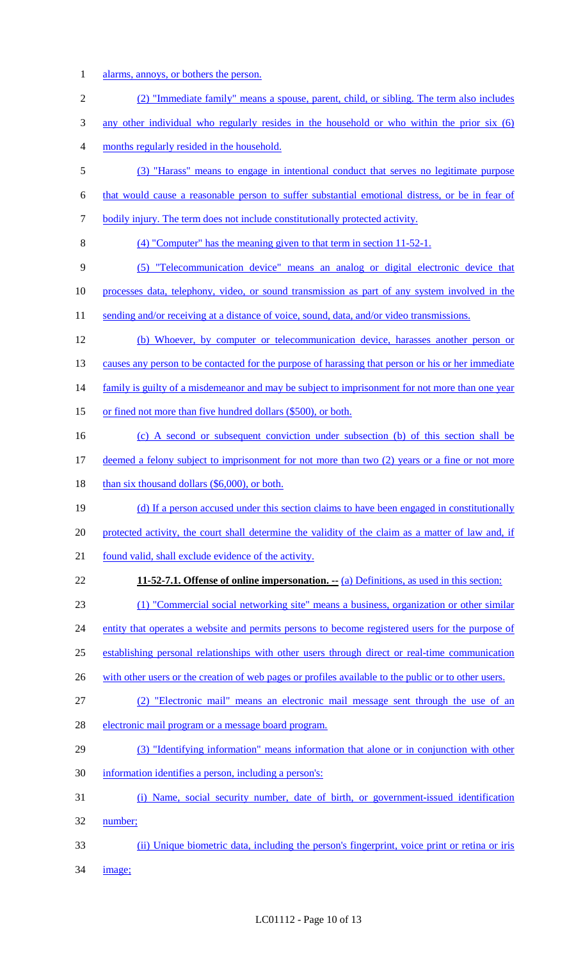1 alarms, annoys, or bothers the person.

| $\overline{2}$ | (2) "Immediate family" means a spouse, parent, child, or sibling. The term also includes             |
|----------------|------------------------------------------------------------------------------------------------------|
| 3              | any other individual who regularly resides in the household or who within the prior six (6)          |
| 4              | months regularly resided in the household.                                                           |
| 5              | (3) "Harass" means to engage in intentional conduct that serves no legitimate purpose                |
| 6              | that would cause a reasonable person to suffer substantial emotional distress, or be in fear of      |
| 7              | bodily injury. The term does not include constitutionally protected activity.                        |
| 8              | (4) "Computer" has the meaning given to that term in section 11-52-1.                                |
| 9              | (5) "Telecommunication device" means an analog or digital electronic device that                     |
| 10             | processes data, telephony, video, or sound transmission as part of any system involved in the        |
| 11             | sending and/or receiving at a distance of voice, sound, data, and/or video transmissions.            |
| 12             | (b) Whoever, by computer or telecommunication device, harasses another person or                     |
| 13             | causes any person to be contacted for the purpose of harassing that person or his or her immediate   |
| 14             | family is guilty of a misdemeanor and may be subject to imprisonment for not more than one year      |
| 15             | or fined not more than five hundred dollars (\$500), or both.                                        |
| 16             | (c) A second or subsequent conviction under subsection (b) of this section shall be                  |
| 17             | deemed a felony subject to imprisonment for not more than two (2) years or a fine or not more        |
| 18             | than six thousand dollars $(\$6,000)$ , or both.                                                     |
| 19             | (d) If a person accused under this section claims to have been engaged in constitutionally           |
| 20             | protected activity, the court shall determine the validity of the claim as a matter of law and, if   |
| 21             | found valid, shall exclude evidence of the activity.                                                 |
| 22             | <b>11-52-7.1. Offense of online impersonation.</b> -- (a) Definitions, as used in this section:      |
| 23             | (1) "Commercial social networking site" means a business, organization or other similar              |
| 24             | entity that operates a website and permits persons to become registered users for the purpose of     |
| 25             | establishing personal relationships with other users through direct or real-time communication       |
| 26             | with other users or the creation of web pages or profiles available to the public or to other users. |
| 27             | (2) "Electronic mail" means an electronic mail message sent through the use of an                    |
| 28             | electronic mail program or a message board program.                                                  |
| 29             | (3) "Identifying information" means information that alone or in conjunction with other              |
| 30             | information identifies a person, including a person's:                                               |
| 31             | (i) Name, social security number, date of birth, or government-issued identification                 |
| 32             | number;                                                                                              |
| 33             | (ii) Unique biometric data, including the person's fingerprint, voice print or retina or iris        |
| 34             | <u>image;</u>                                                                                        |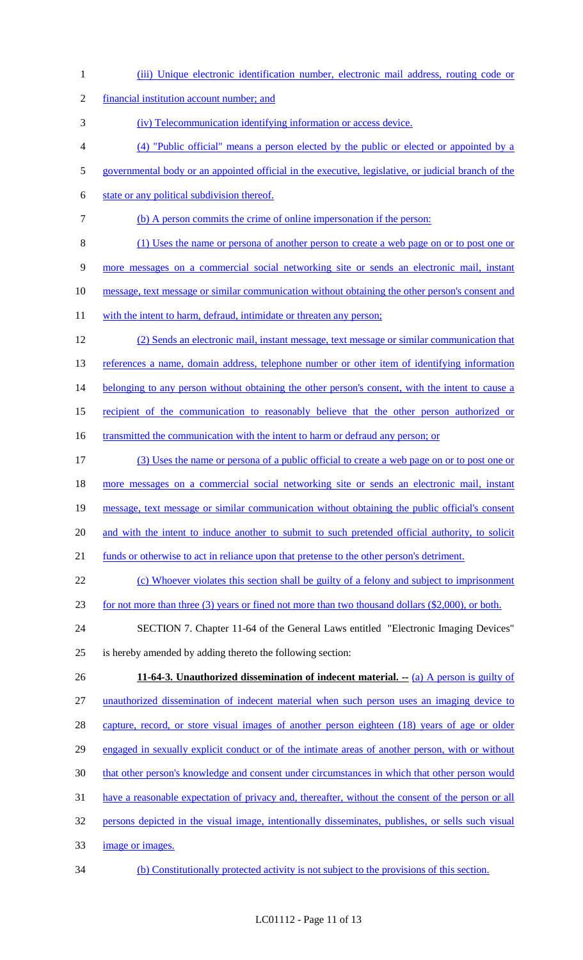| $\mathbf{1}$   | (iii) Unique electronic identification number, electronic mail address, routing code or             |
|----------------|-----------------------------------------------------------------------------------------------------|
| $\mathfrak{2}$ | financial institution account number; and                                                           |
| 3              | (iv) Telecommunication identifying information or access device.                                    |
| $\overline{4}$ | (4) "Public official" means a person elected by the public or elected or appointed by a             |
| $\mathfrak{S}$ | governmental body or an appointed official in the executive, legislative, or judicial branch of the |
| 6              | state or any political subdivision thereof.                                                         |
| 7              | (b) A person commits the crime of online impersonation if the person:                               |
| 8              | (1) Uses the name or persona of another person to create a web page on or to post one or            |
| 9              | more messages on a commercial social networking site or sends an electronic mail, instant           |
| 10             | message, text message or similar communication without obtaining the other person's consent and     |
| 11             | with the intent to harm, defraud, intimidate or threaten any person;                                |
| 12             | (2) Sends an electronic mail, instant message, text message or similar communication that           |
| 13             | references a name, domain address, telephone number or other item of identifying information        |
| 14             | belonging to any person without obtaining the other person's consent, with the intent to cause a    |
| 15             | recipient of the communication to reasonably believe that the other person authorized or            |
| 16             | transmitted the communication with the intent to harm or defraud any person; or                     |
| 17             | (3) Uses the name or persona of a public official to create a web page on or to post one or         |
| 18             | more messages on a commercial social networking site or sends an electronic mail, instant           |
| 19             | message, text message or similar communication without obtaining the public official's consent      |
| 20             | and with the intent to induce another to submit to such pretended official authority, to solicit    |
| 21             | funds or otherwise to act in reliance upon that pretense to the other person's detriment.           |
| 22             | (c) Whoever violates this section shall be guilty of a felony and subject to imprisonment           |
| 23             | for not more than three (3) years or fined not more than two thousand dollars (\$2,000), or both.   |
| 24             | SECTION 7. Chapter 11-64 of the General Laws entitled "Electronic Imaging Devices"                  |
| 25             | is hereby amended by adding thereto the following section:                                          |
| 26             | 11-64-3. Unauthorized dissemination of indecent material. $-$ (a) A person is guilty of             |
| 27             | unauthorized dissemination of indecent material when such person uses an imaging device to          |
| 28             | capture, record, or store visual images of another person eighteen (18) years of age or older       |
| 29             | engaged in sexually explicit conduct or of the intimate areas of another person, with or without    |
| 30             | that other person's knowledge and consent under circumstances in which that other person would      |
| 31             | have a reasonable expectation of privacy and, thereafter, without the consent of the person or all  |
| 32             | persons depicted in the visual image, intentionally disseminates, publishes, or sells such visual   |
| 33             | image or images.                                                                                    |
| 34             | (b) Constitutionally protected activity is not subject to the provisions of this section.           |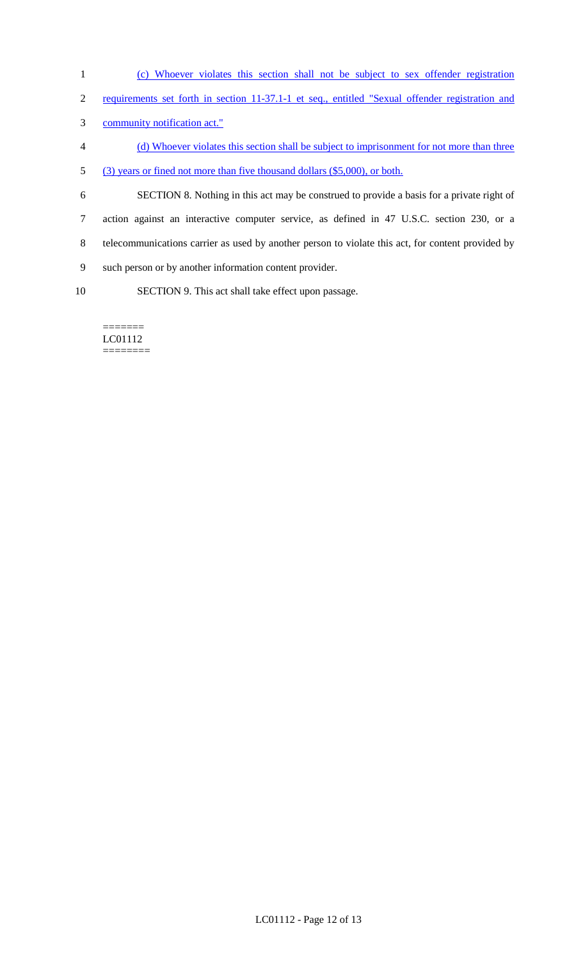- 1 (c) Whoever violates this section shall not be subject to sex offender registration
- 2 requirements set forth in section 11-37.1-1 et seq., entitled "Sexual offender registration and
- 3 community notification act."
- 4 (d) Whoever violates this section shall be subject to imprisonment for not more than three
- 5 (3) years or fined not more than five thousand dollars (\$5,000), or both.
- 6 SECTION 8. Nothing in this act may be construed to provide a basis for a private right of 7 action against an interactive computer service, as defined in 47 U.S.C. section 230, or a 8 telecommunications carrier as used by another person to violate this act, for content provided by 9 such person or by another information content provider.
- 10 SECTION 9. This act shall take effect upon passage.

#### ======= LC01112 ========